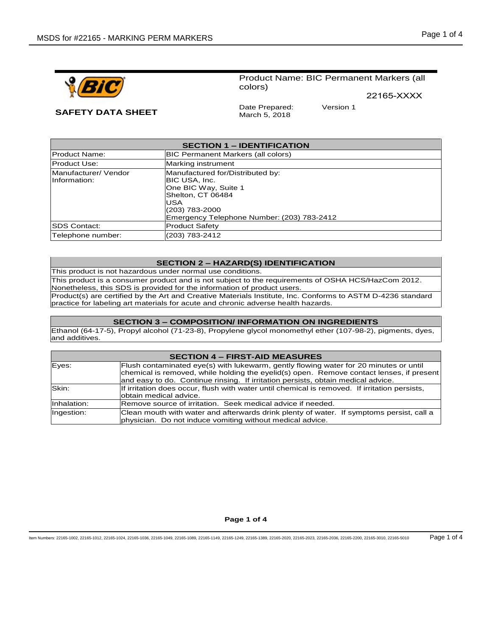



# Product Name: BIC Permanent Markers (all colors)

22165-XXXX

**SAFETY DATA SHEET** Date Prepared: March 5, 2018

Version 1

| <b>SECTION 1 – IDENTIFICATION</b>    |                                                                                                                                                                       |
|--------------------------------------|-----------------------------------------------------------------------------------------------------------------------------------------------------------------------|
| <b>Product Name:</b>                 | <b>BIC Permanent Markers (all colors)</b>                                                                                                                             |
| <b>Product Use:</b>                  | Marking instrument                                                                                                                                                    |
| Manufacturer/ Vendor<br>Information: | Manufactured for/Distributed by:<br>BIC USA, Inc.<br>One BIC Way, Suite 1<br>Shelton, CT 06484<br>USA<br>(203) 783-2000<br>Emergency Telephone Number: (203) 783-2412 |
| <b>ISDS Contact:</b>                 | <b>Product Safety</b>                                                                                                                                                 |
| Telephone number:                    | (203) 783-2412                                                                                                                                                        |

# **SECTION 2 – HAZARD(S) IDENTIFICATION**

This product is not hazardous under normal use conditions.

This product is a consumer product and is not subject to the requirements of OSHA HCS/HazCom 2012. Nonetheless, this SDS is provided for the information of product users.

Product(s) are certified by the Art and Creative Materials Institute, Inc. Conforms to ASTM D-4236 standard practice for labeling art materials for acute and chronic adverse health hazards.

# **SECTION 3 – COMPOSITION/ INFORMATION ON INGREDIENTS**

Ethanol (64-17-5), Propyl alcohol (71-23-8), Propylene glycol monomethyl ether (107-98-2), pigments, dyes, and additives.

# **SECTION 4 – FIRST-AID MEASURES**

| Eyes:       | Flush contaminated eye(s) with lukewarm, gently flowing water for 20 minutes or until         |
|-------------|-----------------------------------------------------------------------------------------------|
|             | chemical is removed, while holding the eyelid(s) open. Remove contact lenses, if present      |
|             | and easy to do. Continue rinsing. If irritation persists, obtain medical advice.              |
| Skin:       | If irritation does occur, flush with water until chemical is removed. If irritation persists, |
|             | lobtain medical advice.                                                                       |
| Inhalation: | Remove source of irritation. Seek medical advice if needed.                                   |
| Ingestion:  | Clean mouth with water and afterwards drink plenty of water. If symptoms persist, call a      |
|             | physician. Do not induce vomiting without medical advice.                                     |

### **Page 1 of 4**

Item Numbers: 22165-1002, 22165-1012, 22165-1024, 22165-1036, 22165-1049, 22165-1089, 22165-1149, 22165-1249, 22165-1389, 22165-2020, 22165-2023, 22165-2036, 22165-2200, 22165-3010, 22165-5010 Page 1 of 4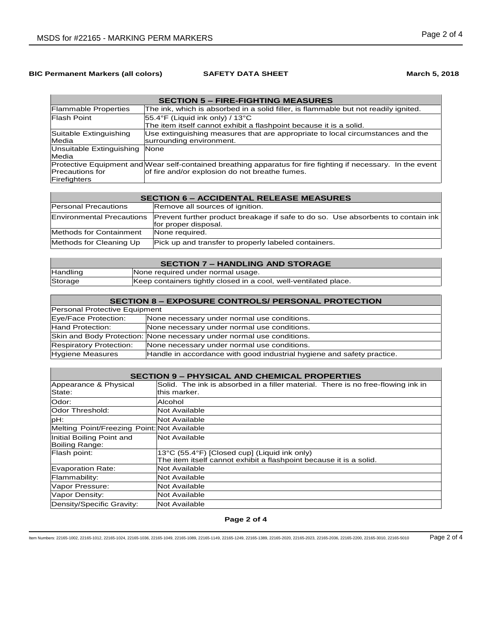# **BIC Permanent Markers (all colors) <b>SAFETY DATA SHEET March 5, 2018 March 5**, 2018

| <b>SECTION 5 – FIRE-FIGHTING MEASURES</b> |                                                                                                               |
|-------------------------------------------|---------------------------------------------------------------------------------------------------------------|
| <b>Flammable Properties</b>               | The ink, which is absorbed in a solid filler, is flammable but not readily ignited.                           |
| Flash Point                               | $ 55.4$ °F (Liquid ink only) / 13°C                                                                           |
|                                           | The item itself cannot exhibit a flashpoint because it is a solid.                                            |
| Suitable Extinguishing                    | Use extinguishing measures that are appropriate to local circumstances and the                                |
| Media                                     | surrounding environment.                                                                                      |
| Unsuitable Extinguishing                  | None                                                                                                          |
| Media                                     |                                                                                                               |
|                                           | Protective Equipment and Wear self-contained breathing apparatus for fire fighting if necessary. In the event |
| <b>Precautions for</b>                    | of fire and/or explosion do not breathe fumes.                                                                |
| Firefighters                              |                                                                                                               |

| <b>SECTION 6 – ACCIDENTAL RELEASE MEASURES</b> |                                                                                                                                    |
|------------------------------------------------|------------------------------------------------------------------------------------------------------------------------------------|
| <b>Personal Precautions</b>                    | Remove all sources of ignition.                                                                                                    |
|                                                | Environmental Precautions Prevent further product breakage if safe to do so. Use absorbents to contain ink<br>for proper disposal. |
| Methods for Containment                        | None required.                                                                                                                     |
| Methods for Cleaning Up                        | Pick up and transfer to properly labeled containers.                                                                               |

| <b>SECTION 7 - HANDLING AND STORAGE</b> |                                                                  |
|-----------------------------------------|------------------------------------------------------------------|
| Handling                                | None required under normal usage.                                |
| Storage                                 | Keep containers tightly closed in a cool, well-ventilated place. |

| <b>SECTION 8 - EXPOSURE CONTROLS/ PERSONAL PROTECTION</b> |                                                                        |
|-----------------------------------------------------------|------------------------------------------------------------------------|
| Personal Protective Equipment                             |                                                                        |
| Eye/Face Protection:                                      | None necessary under normal use conditions.                            |
| Hand Protection:                                          | None necessary under normal use conditions.                            |
|                                                           | Skin and Body Protection: None necessary under normal use conditions.  |
| <b>Respiratory Protection:</b>                            | None necessary under normal use conditions.                            |
| Hygiene Measures                                          | Handle in accordance with good industrial hygiene and safety practice. |

| <b>SECTION 9 - PHYSICAL AND CHEMICAL PROPERTIES</b> |                                                                                  |
|-----------------------------------------------------|----------------------------------------------------------------------------------|
| Appearance & Physical                               | Solid. The ink is absorbed in a filler material. There is no free-flowing ink in |
| State:                                              | this marker.                                                                     |
| Odor:                                               | Alcohol                                                                          |
| Odor Threshold:                                     | Not Available                                                                    |
| pH:                                                 | Not Available                                                                    |
| Melting Point/Freezing Point: Not Available         |                                                                                  |
| Initial Boiling Point and                           | Not Available                                                                    |
| Boiling Range:                                      |                                                                                  |
| Flash point:                                        | 13°C (55.4°F) [Closed cup] (Liquid ink only)                                     |
|                                                     | The item itself cannot exhibit a flashpoint because it is a solid.               |
| Evaporation Rate:                                   | Not Available                                                                    |
| Flammability:                                       | Not Available                                                                    |
| Vapor Pressure:                                     | <b>Not Available</b>                                                             |
| Vapor Density:                                      | Not Available                                                                    |
| Density/Specific Gravity:                           | <b>Not Available</b>                                                             |

**Page 2 of 4**

Item Numbers: 22165-1002, 22165-1012, 22165-1024, 22165-1036, 22165-1049, 22165-1089, 22165-1149, 22165-1249, 22165-1389, 22165-2020, 22165-2023, 22165-2036, 22165-2200, 22165-3010, 22165-5010 Page 2 of 4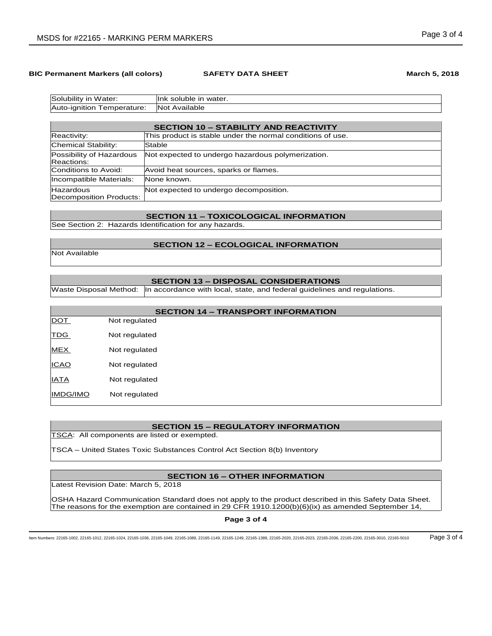### **BIC Permanent Markers (all colors) <b>SAFETY DATA SHEET March 5, 2018 March 5, 2018**

| Not Available<br>Auto-ignition<br>'emperature: |  |
|------------------------------------------------|--|

| <b>SECTION 10 - STABILITY AND REACTIVITY</b> |                                                            |
|----------------------------------------------|------------------------------------------------------------|
| Reactivity:                                  | This product is stable under the normal conditions of use. |
| Chemical Stability:                          | Stable                                                     |
| Possibility of Hazardous<br>Reactions:       | Not expected to undergo hazardous polymerization.          |
| Conditions to Avoid:                         | Avoid heat sources, sparks or flames.                      |
| Incompatible Materials:                      | None known.                                                |
| <b>Hazardous</b><br>Decomposition Products:  | Not expected to undergo decomposition.                     |

# **SECTION 11 – TOXICOLOGICAL INFORMATION**

See Section 2: Hazards Identification for any hazards.

### **SECTION 12 – ECOLOGICAL INFORMATION**

Not Available

# **SECTION 13 – DISPOSAL CONSIDERATIONS**

Waste Disposal Method: | In accordance with local, state, and federal guidelines and regulations.

| <b>SECTION 14 - TRANSPORT INFORMATION</b> |               |  |
|-------------------------------------------|---------------|--|
| <b>DOT</b>                                | Not regulated |  |
| <b>TDG</b>                                | Not regulated |  |
| <b>MEX</b>                                | Not regulated |  |
| <b>ICAO</b>                               | Not regulated |  |
| <b>IATA</b>                               | Not regulated |  |
| <b>IMDG/IMO</b>                           | Not regulated |  |

# **SECTION 15 – REGULATORY INFORMATION**

TSCA: All components are listed or exempted.

TSCA – United States Toxic Substances Control Act Section 8(b) Inventory

# **SECTION 16 – OTHER INFORMATION**

Latest Revision Date: March 5, 2018

OSHA Hazard Communication Standard does not apply to the product described in this Safety Data Sheet. The reasons for the exemption are contained in 29 CFR 1910.1200(b)(6)(ix) as amended September 14,

**Page 3 of 4**

Item Numbers: 22165-1002, 22165-1012, 22165-1024, 22165-1036, 22165-1049, 22165-1089, 22165-1149, 22165-1249, 22165-1389, 22165-2020, 22165-2023, 22165-2036, 22165-2200, 22165-3010, 22165-5010 Page 3 of 4